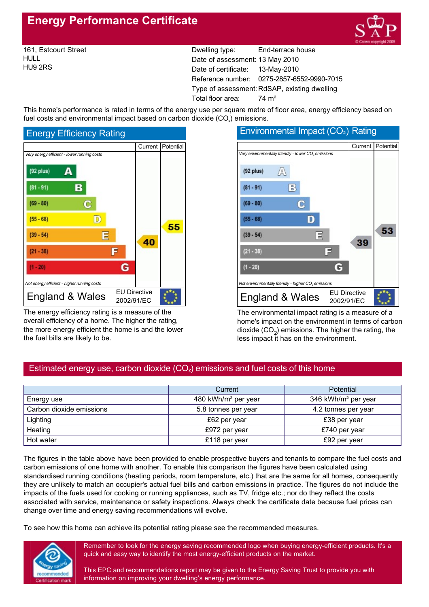# **Energy Performance Certificate**



161, Estcourt Street HULL HU9 2RS

Dwelling type: End-terrace house Date of assessment: 13 May 2010 Date of certificate: 13-May-2010 Reference number: 0275-2857-6552-9990-7015 Type of assessment: RdSAP, existing dwelling Total floor area: 74 m<sup>2</sup>

This home's performance is rated in terms of the energy use per square metre of floor area, energy efficiency based on fuel costs and environmental impact based on carbon dioxide  $(CO<sub>2</sub>)$  emissions.



The energy efficiency rating is a measure of the overall efficiency of a home. The higher the rating, the more energy efficient the home is and the lower the fuel bills are likely to be.

#### Environmental Impact (CO<sub>2</sub>) Rating Current | Potential *Very environmentally friendly lower CO<sup>²</sup> emissions*  $(92$  plus) A B.  $(81 - 91)$  $(69 - 80)$ c  $(55 - 68)$ ה 53  $\equiv$  $(39 - 54)$ 39 Ξ  $(21 - 38)$  $(1 - 20)$ G *Not environmentally friendly higher CO<sup>²</sup> emissions* England & Wales  $\frac{EU \text{ Directive}}{2002/01/E}$ 2002/91/EC

The environmental impact rating is a measure of a home's impact on the environment in terms of carbon dioxide  $(CO<sub>2</sub>)$  emissions. The higher the rating, the less impact it has on the environment.

# Estimated energy use, carbon dioxide  $(CO<sub>2</sub>)$  emissions and fuel costs of this home

|                          | Current                         | Potential                       |
|--------------------------|---------------------------------|---------------------------------|
| Energy use               | 480 kWh/m <sup>2</sup> per year | 346 kWh/m <sup>2</sup> per year |
| Carbon dioxide emissions | 5.8 tonnes per year             | 4.2 tonnes per year             |
| Lighting                 | £62 per year                    | £38 per year                    |
| Heating                  | £972 per year                   | £740 per year                   |
| Hot water                | £118 per year                   | £92 per year                    |

The figures in the table above have been provided to enable prospective buyers and tenants to compare the fuel costs and carbon emissions of one home with another. To enable this comparison the figures have been calculated using standardised running conditions (heating periods, room temperature, etc.) that are the same for all homes, consequently they are unlikely to match an occupier's actual fuel bills and carbon emissions in practice. The figures do not include the impacts of the fuels used for cooking or running appliances, such as TV, fridge etc.; nor do they reflect the costs associated with service, maintenance or safety inspections. Always check the certificate date because fuel prices can change over time and energy saving recommendations will evolve.

To see how this home can achieve its potential rating please see the recommended measures.



Remember to look for the energy saving recommended logo when buying energy-efficient products. It's a quick and easy way to identify the most energy-efficient products on the market.

This EPC and recommendations report may be given to the Energy Saving Trust to provide you with information on improving your dwelling's energy performance.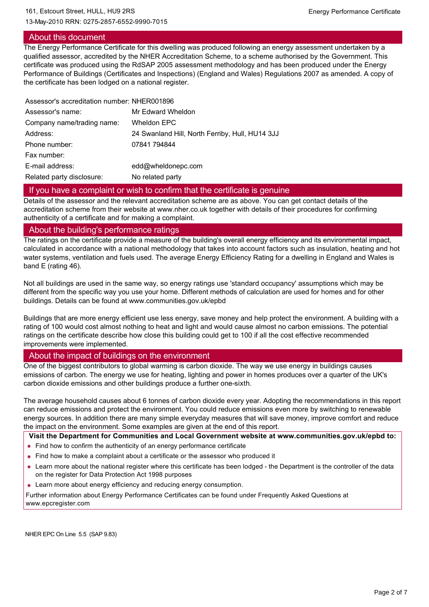13-May-2010 RRN: 0275-2857-6552-9990-7015

# About this document

The Energy Performance Certificate for this dwelling was produced following an energy assessment undertaken by a qualified assessor, accredited by the NHER Accreditation Scheme, to a scheme authorised by the Government. This certificate was produced using the RdSAP 2005 assessment methodology and has been produced under the Energy Performance of Buildings (Certificates and Inspections) (England and Wales) Regulations 2007 as amended. A copy of the certificate has been lodged on a national register.

| Assessor's accreditation number: NHER001896 |                                                 |
|---------------------------------------------|-------------------------------------------------|
| Assessor's name:                            | Mr Edward Wheldon                               |
| Company name/trading name:                  | Wheldon EPC                                     |
| Address:                                    | 24 Swanland Hill, North Ferriby, Hull, HU14 3JJ |
| Phone number:                               | 07841794844                                     |
| Fax number:                                 |                                                 |
| E-mail address:                             | edd@wheldonepc.com                              |
| Related party disclosure:                   | No related party                                |

### If you have a complaint or wish to confirm that the certificate is genuine

Details of the assessor and the relevant accreditation scheme are as above. You can get contact details of the accreditation scheme from their website at www.nher.co.uk together with details of their procedures for confirming authenticity of a certificate and for making a complaint.

### About the building's performance ratings

The ratings on the certificate provide a measure of the building's overall energy efficiency and its environmental impact, calculated in accordance with a national methodology that takes into account factors such as insulation, heating and hot water systems, ventilation and fuels used. The average Energy Efficiency Rating for a dwelling in England and Wales is band E (rating 46).

Not all buildings are used in the same way, so energy ratings use 'standard occupancy' assumptions which may be different from the specific way you use your home. Different methods of calculation are used for homes and for other buildings. Details can be found at www.communities.gov.uk/epbd

Buildings that are more energy efficient use less energy, save money and help protect the environment. A building with a rating of 100 would cost almost nothing to heat and light and would cause almost no carbon emissions. The potential ratings on the certificate describe how close this building could get to 100 if all the cost effective recommended improvements were implemented.

# About the impact of buildings on the environment

One of the biggest contributors to global warming is carbon dioxide. The way we use energy in buildings causes emissions of carbon. The energy we use for heating, lighting and power in homes produces over a quarter of the UK's carbon dioxide emissions and other buildings produce a further onesixth.

The average household causes about 6 tonnes of carbon dioxide every year. Adopting the recommendations in this report can reduce emissions and protect the environment. You could reduce emissions even more by switching to renewable energy sources. In addition there are many simple everyday measures that will save money, improve comfort and reduce the impact on the environment. Some examples are given at the end of this report.

**Visit the Department for Communities and Local Government website at www.communities.gov.uk/epbd to:**

- Find how to confirm the authenticity of an energy performance certificate
- Find how to make a complaint about a certificate or the assessor who produced it
- Learn more about the national register where this certificate has been lodged the Department is the controller of the data on the register for Data Protection Act 1998 purposes
- **Learn more about energy efficiency and reducing energy consumption.**

Further information about Energy Performance Certificates can be found under Frequently Asked Questions at www.epcregister.com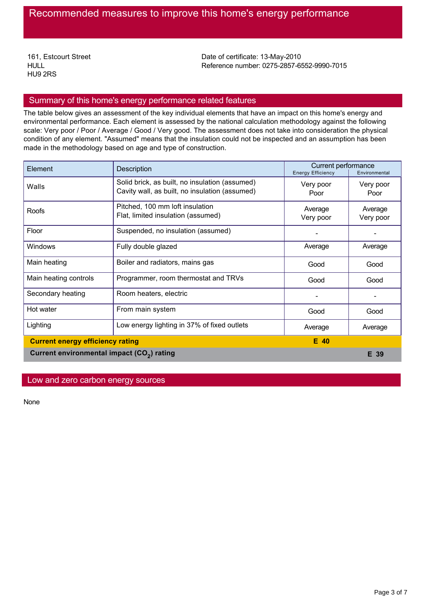161, Estcourt Street HULL HU9 2RS

Date of certificate: 13-May-2010 Reference number: 0275-2857-6552-9990-7015

### Summary of this home's energy performance related features

The table below gives an assessment of the key individual elements that have an impact on this home's energy and environmental performance. Each element is assessed by the national calculation methodology against the following scale: Very poor / Poor / Average / Good / Very good. The assessment does not take into consideration the physical condition of any element. "Assumed" means that the insulation could not be inspected and an assumption has been made in the methodology based on age and type of construction.

| Element                                                | <b>Description</b>                                                                               | Current performance<br><b>Energy Efficiency</b> | Environmental        |
|--------------------------------------------------------|--------------------------------------------------------------------------------------------------|-------------------------------------------------|----------------------|
| Walls                                                  | Solid brick, as built, no insulation (assumed)<br>Cavity wall, as built, no insulation (assumed) | Very poor<br>Poor                               | Very poor<br>Poor    |
| Roofs                                                  | Pitched, 100 mm loft insulation<br>Flat, limited insulation (assumed)                            | Average<br>Very poor                            | Average<br>Very poor |
| Floor                                                  | Suspended, no insulation (assumed)                                                               |                                                 |                      |
| Windows                                                | Fully double glazed                                                                              | Average                                         | Average              |
| Main heating                                           | Boiler and radiators, mains gas                                                                  | Good                                            | Good                 |
| Main heating controls                                  | Programmer, room thermostat and TRVs                                                             | Good                                            | Good                 |
| Secondary heating                                      | Room heaters, electric                                                                           |                                                 |                      |
| Hot water                                              | From main system                                                                                 | Good                                            | Good                 |
| Lighting                                               | Low energy lighting in 37% of fixed outlets                                                      | Average                                         | Average              |
| <b>Current energy efficiency rating</b>                |                                                                                                  | $E$ 40                                          |                      |
| Current environmental impact (CO <sub>2</sub> ) rating |                                                                                                  |                                                 | E 39                 |

# Low and zero carbon energy sources

None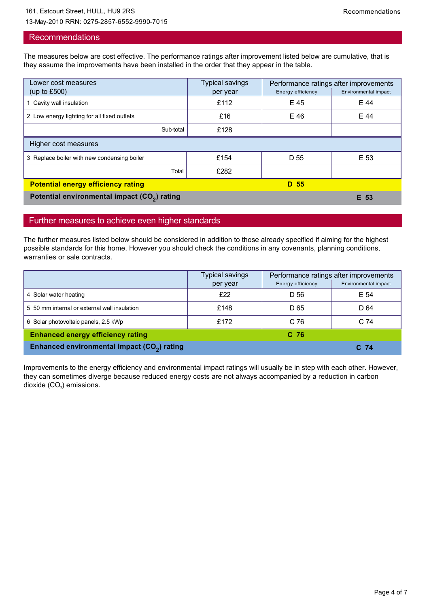13-May-2010 RRN: 0275-2857-6552-9990-7015

### Recommendations

The measures below are cost effective. The performance ratings after improvement listed below are cumulative, that is they assume the improvements have been installed in the order that they appear in the table.

| Lower cost measures<br>(up to $£500$ )                   | <b>Typical savings</b><br>per year | Performance ratings after improvements<br>Energy efficiency<br>Environmental impact |      |  |
|----------------------------------------------------------|------------------------------------|-------------------------------------------------------------------------------------|------|--|
| 1 Cavity wall insulation                                 | £112                               | E 45                                                                                | E 44 |  |
| 2 Low energy lighting for all fixed outlets              | £16                                | E 46                                                                                | E 44 |  |
| Sub-total                                                | £128                               |                                                                                     |      |  |
| Higher cost measures                                     |                                    |                                                                                     |      |  |
| 3 Replace boiler with new condensing boiler              | £154                               | D 55                                                                                | E 53 |  |
| Total                                                    | £282                               |                                                                                     |      |  |
| <b>Potential energy efficiency rating</b>                |                                    | D 55                                                                                |      |  |
| Potential environmental impact (CO <sub>2</sub> ) rating |                                    |                                                                                     | E 53 |  |

## Further measures to achieve even higher standards

The further measures listed below should be considered in addition to those already specified if aiming for the highest possible standards for this home. However you should check the conditions in any covenants, planning conditions, warranties or sale contracts.

|                                                         | <b>Typical savings</b> | Performance ratings after improvements |                      |
|---------------------------------------------------------|------------------------|----------------------------------------|----------------------|
|                                                         | per year               | Energy efficiency                      | Environmental impact |
| 4 Solar water heating                                   | £22                    | D 56                                   | E 54                 |
| 5 50 mm internal or external wall insulation            | £148                   | D 65                                   | D 64                 |
| 6 Solar photovoltaic panels, 2.5 kWp                    | £172                   | C 76                                   | C <sub>74</sub>      |
| <b>Enhanced energy efficiency rating</b>                |                        | $C$ 76                                 |                      |
| Enhanced environmental impact (CO <sub>2</sub> ) rating |                        |                                        | C <sub>74</sub>      |

Improvements to the energy efficiency and environmental impact ratings will usually be in step with each other. However, they can sometimes diverge because reduced energy costs are not always accompanied by a reduction in carbon dioxide  $(CO<sub>2</sub>)$  emissions.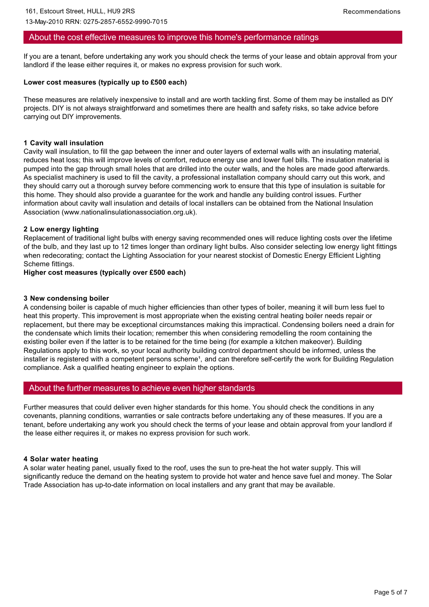# About the cost effective measures to improve this home's performance ratings

If you are a tenant, before undertaking any work you should check the terms of your lease and obtain approval from your landlord if the lease either requires it, or makes no express provision for such work.

#### **Lower cost measures (typically up to £500 each)**

These measures are relatively inexpensive to install and are worth tackling first. Some of them may be installed as DIY projects. DIY is not always straightforward and sometimes there are health and safety risks, so take advice before carrying out DIY improvements.

#### **1 Cavity wall insulation**

Cavity wall insulation, to fill the gap between the inner and outer layers of external walls with an insulating material, reduces heat loss; this will improve levels of comfort, reduce energy use and lower fuel bills. The insulation material is pumped into the gap through small holes that are drilled into the outer walls, and the holes are made good afterwards. As specialist machinery is used to fill the cavity, a professional installation company should carry out this work, and they should carry out a thorough survey before commencing work to ensure that this type of insulation is suitable for this home. They should also provide a guarantee for the work and handle any building control issues. Further information about cavity wall insulation and details of local installers can be obtained from the National Insulation Association (www.nationalinsulationassociation.org.uk).

#### **2 Low energy lighting**

Replacement of traditional light bulbs with energy saving recommended ones will reduce lighting costs over the lifetime of the bulb, and they last up to 12 times longer than ordinary light bulbs. Also consider selecting low energy light fittings when redecorating; contact the Lighting Association for your nearest stockist of Domestic Energy Efficient Lighting Scheme fittings.

**Higher cost measures (typically over £500 each)**

#### **3 New condensing boiler**

A condensing boiler is capable of much higher efficiencies than other types of boiler, meaning it will burn less fuel to heat this property. This improvement is most appropriate when the existing central heating boiler needs repair or replacement, but there may be exceptional circumstances making this impractical. Condensing boilers need a drain for the condensate which limits their location; remember this when considering remodelling the room containing the existing boiler even if the latter is to be retained for the time being (for example a kitchen makeover). Building Regulations apply to this work, so your local authority building control department should be informed, unless the installer is registered with a competent persons scheme<sup>1</sup>, and can therefore self-certify the work for Building Regulation compliance. Ask a qualified heating engineer to explain the options.

# About the further measures to achieve even higher standards

Further measures that could deliver even higher standards for this home. You should check the conditions in any covenants, planning conditions, warranties or sale contracts before undertaking any of these measures. If you are a tenant, before undertaking any work you should check the terms of your lease and obtain approval from your landlord if the lease either requires it, or makes no express provision for such work.

#### **4 Solar water heating**

A solar water heating panel, usually fixed to the roof, uses the sun to preheat the hot water supply. This will significantly reduce the demand on the heating system to provide hot water and hence save fuel and money. The Solar Trade Association has up-to-date information on local installers and any grant that may be available.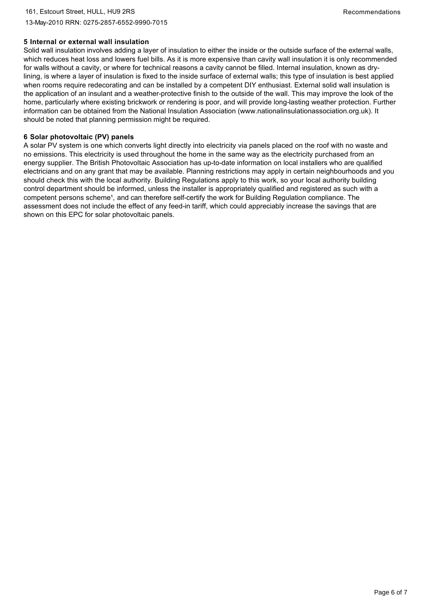#### **5 Internal or external wall insulation**

Solid wall insulation involves adding a layer of insulation to either the inside or the outside surface of the external walls, which reduces heat loss and lowers fuel bills. As it is more expensive than cavity wall insulation it is only recommended for walls without a cavity, or where for technical reasons a cavity cannot be filled. Internal insulation, known as drylining, is where a layer of insulation is fixed to the inside surface of external walls; this type of insulation is best applied when rooms require redecorating and can be installed by a competent DIY enthusiast. External solid wall insulation is the application of an insulant and a weather-protective finish to the outside of the wall. This may improve the look of the home, particularly where existing brickwork or rendering is poor, and will provide long-lasting weather protection. Further information can be obtained from the National Insulation Association (www.nationalinsulationassociation.org.uk). It should be noted that planning permission might be required.

#### **6 Solar photovoltaic (PV) panels**

A solar PV system is one which converts light directly into electricity via panels placed on the roof with no waste and no emissions. This electricity is used throughout the home in the same way as the electricity purchased from an energy supplier. The British Photovoltaic Association has up-to-date information on local installers who are qualified electricians and on any grant that may be available. Planning restrictions may apply in certain neighbourhoods and you should check this with the local authority. Building Regulations apply to this work, so your local authority building control department should be informed, unless the installer is appropriately qualified and registered as such with a competent persons scheme<sup>1</sup>, and can therefore self-certify the work for Building Regulation compliance. The assessment does not include the effect of any feed-in tariff, which could appreciably increase the savings that are shown on this EPC for solar photovoltaic panels.